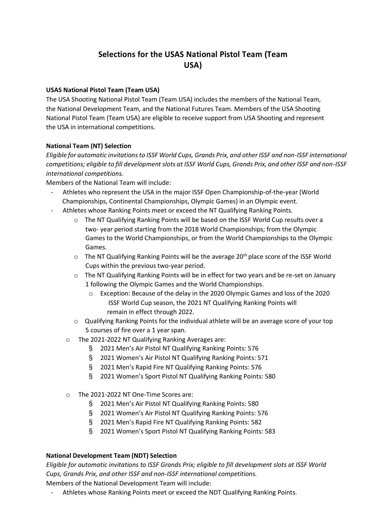# **Selections for the USAS National Pistol Team (Team USA)**

## **USAS National Pistol Team (Team USA)**

The USA Shooting National Pistol Team (Team USA) includes the members of the National Team, the National Development Team, and the National Futures Team. Members of the USA Shooting National Pistol Team (Team USA) are eligible to receive support from USA Shooting and represent the USA in international competitions.

## **National Team (NT) Selection**

*Eligible for automatic invitations to ISSF World Cups, Grands Prix, and other ISSF and non-ISSF international competitions; eligible to fill development slots at ISSF World Cups, Grands Prix, and other ISSF and non-ISSF international competitions.*

Members of the National Team will include:

- Athletes who represent the USA in the major ISSF Open Championship-of-the-year (World Championships, Continental Championships, Olympic Games) in an Olympic event.
- Athletes whose Ranking Points meet or exceed the NT Qualifying Ranking Points.
	- o The NT Qualifying Ranking Points will be based on the ISSF World Cup results over a two- year period starting from the 2018 World Championships; from the Olympic Games to the World Championships, or from the World Championships to the Olympic Games.
	- $\circ$  The NT Qualifying Ranking Points will be the average 20<sup>th</sup> place score of the ISSF World Cups within the previous two-year period.
	- o The NT Qualifying Ranking Points will be in effect for two years and be re-set on January 1 following the Olympic Games and the World Championships.
		- o Exception: Because of the delay in the 2020 Olympic Games and loss of the 2020 ISSF World Cup season, the 2021 NT Qualifying Ranking Points will remain in effect through 2022.
	- o Qualifying Ranking Points for the individual athlete will be an average score of your top 5 courses of fire over a 1 year span.
	- o The 2021-2022 NT Qualifying Ranking Averages are:
		- § 2021 Men's Air Pistol NT Qualifying Ranking Points: 576
		- § 2021 Women's Air Pistol NT Qualifying Ranking Points: 571
		- § 2021 Men's Rapid Fire NT Qualifying Ranking Points: 576
		- § 2021 Women's Sport Pistol NT Qualifying Ranking Points: 580
	- o The 2021-2022 NT One-Time Scores are:
		- § 2021 Men's Air Pistol NT Qualifying Ranking Points: 580
		- § 2021 Women's Air Pistol NT Qualifying Ranking Points: 576
		- § 2021 Men's Rapid Fire NT Qualifying Ranking Points: 582
		- § 2021 Women's Sport Pistol NT Qualifying Ranking Points: 583

#### **National Development Team (NDT) Selection**

*Eligible for automatic invitations to ISSF Grands Prix; eligible to fill development slots at ISSF World Cups, Grands Prix, and other ISSF and non-ISSF international competitions.*

Members of the National Development Team will include:

Athletes whose Ranking Points meet or exceed the NDT Qualifying Ranking Points.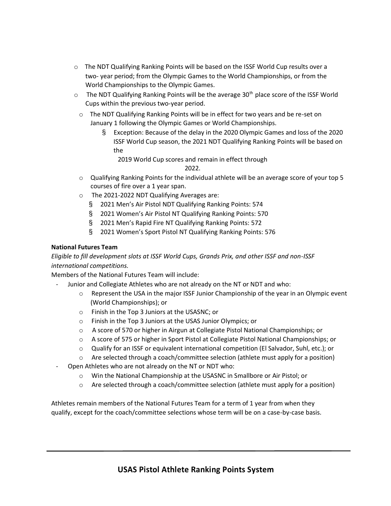- o The NDT Qualifying Ranking Points will be based on the ISSF World Cup results over a two- year period; from the Olympic Games to the World Championships, or from the World Championships to the Olympic Games.
- $\circ$  The NDT Qualifying Ranking Points will be the average 30<sup>th</sup> place score of the ISSF World Cups within the previous two-year period.
	- o The NDT Qualifying Ranking Points will be in effect for two years and be re-set on January 1 following the Olympic Games or World Championships.
		- § Exception: Because of the delay in the 2020 Olympic Games and loss of the 2020 ISSF World Cup season, the 2021 NDT Qualifying Ranking Points will be based on the

2019 World Cup scores and remain in effect through

2022.

- $\circ$  Qualifying Ranking Points for the individual athlete will be an average score of your top 5 courses of fire over a 1 year span.
- o The 2021-2022 NDT Qualifying Averages are:
	- § 2021 Men's Air Pistol NDT Qualifying Ranking Points: 574
	- § 2021 Women's Air Pistol NT Qualifying Ranking Points: 570
	- § 2021 Men's Rapid Fire NT Qualifying Ranking Points: 572
	- § 2021 Women's Sport Pistol NT Qualifying Ranking Points: 576

# **National Futures Team**

*Eligible to fill development slots at ISSF World Cups, Grands Prix, and other ISSF and non-ISSF international competitions.*

Members of the National Futures Team will include:

- Junior and Collegiate Athletes who are not already on the NT or NDT and who:
	- $\circ$  Represent the USA in the major ISSF Junior Championship of the year in an Olympic event (World Championships); or
	- o Finish in the Top 3 Juniors at the USASNC; or
	- o Finish in the Top 3 Juniors at the USAS Junior Olympics; or
	- o A score of 570 or higher in Airgun at Collegiate Pistol National Championships; or
	- o A score of 575 or higher in Sport Pistol at Collegiate Pistol National Championships; or
	- o Qualify for an ISSF or equivalent international competition (El Salvador, Suhl, etc.); or
	- o Are selected through a coach/committee selection (athlete must apply for a position)
- Open Athletes who are not already on the NT or NDT who:
	- o Win the National Championship at the USASNC in Smallbore or Air Pistol; or
	- o Are selected through a coach/committee selection (athlete must apply for a position)

Athletes remain members of the National Futures Team for a term of 1 year from when they qualify, except for the coach/committee selections whose term will be on a case-by-case basis.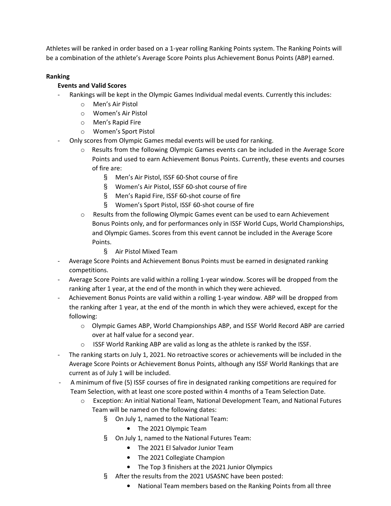Athletes will be ranked in order based on a 1-year rolling Ranking Points system. The Ranking Points will be a combination of the athlete's Average Score Points plus Achievement Bonus Points (ABP) earned.

## **Ranking**

# **Events and Valid Scores**

- Rankings will be kept in the Olympic Games Individual medal events. Currently this includes:
	- o Men's Air Pistol
	- o Women's Air Pistol
	- o Men's Rapid Fire
	- o Women's Sport Pistol
- Only scores from Olympic Games medal events will be used for ranking.
	- o Results from the following Olympic Games events can be included in the Average Score Points and used to earn Achievement Bonus Points. Currently, these events and courses of fire are:
		- § Men's Air Pistol, ISSF 60-Shot course of fire
		- § Women's Air Pistol, ISSF 60-shot course of fire
		- § Men's Rapid Fire, ISSF 60-shot course of fire
		- § Women's Sport Pistol, ISSF 60-shot course of fire
	- o Results from the following Olympic Games event can be used to earn Achievement Bonus Points only, and for performances only in ISSF World Cups, World Championships, and Olympic Games. Scores from this event cannot be included in the Average Score Points.
		- § Air Pistol Mixed Team
- Average Score Points and Achievement Bonus Points must be earned in designated ranking competitions.
- Average Score Points are valid within a rolling 1-year window. Scores will be dropped from the ranking after 1 year, at the end of the month in which they were achieved.
- Achievement Bonus Points are valid within a rolling 1-year window. ABP will be dropped from the ranking after 1 year, at the end of the month in which they were achieved, except for the following:
	- o Olympic Games ABP, World Championships ABP, and ISSF World Record ABP are carried over at half value for a second year.
	- o ISSF World Ranking ABP are valid as long as the athlete is ranked by the ISSF.
- The ranking starts on July 1, 2021. No retroactive scores or achievements will be included in the Average Score Points or Achievement Bonus Points, although any ISSF World Rankings that are current as of July 1 will be included.
- A minimum of five (5) ISSF courses of fire in designated ranking competitions are required for Team Selection, with at least one score posted within 4 months of a Team Selection Date.
	- o Exception: An initial National Team, National Development Team, and National Futures Team will be named on the following dates:
		- § On July 1, named to the National Team:
			- The 2021 Olympic Team
		- § On July 1, named to the National Futures Team:
			- The 2021 El Salvador Junior Team
			- The 2021 Collegiate Champion
			- The Top 3 finishers at the 2021 Junior Olympics
		- § After the results from the 2021 USASNC have been posted:
			- National Team members based on the Ranking Points from all three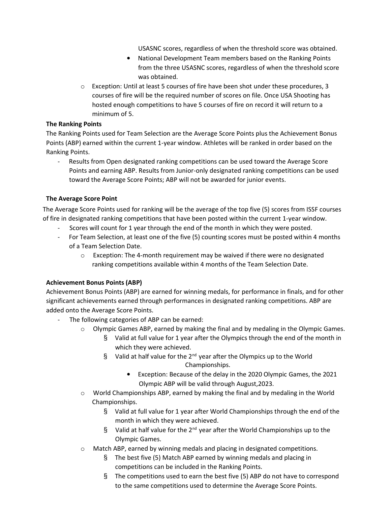USASNC scores, regardless of when the threshold score was obtained.

- National Development Team members based on the Ranking Points from the three USASNC scores, regardless of when the threshold score was obtained.
- o Exception: Until at least 5 courses of fire have been shot under these procedures, 3 courses of fire will be the required number of scores on file. Once USA Shooting has hosted enough competitions to have 5 courses of fire on record it will return to a minimum of 5.

## **The Ranking Points**

The Ranking Points used for Team Selection are the Average Score Points plus the Achievement Bonus Points (ABP) earned within the current 1-year window. Athletes will be ranked in order based on the Ranking Points.

Results from Open designated ranking competitions can be used toward the Average Score Points and earning ABP. Results from Junior-only designated ranking competitions can be used toward the Average Score Points; ABP will not be awarded for junior events.

# **The Average Score Point**

The Average Score Points used for ranking will be the average of the top five (5) scores from ISSF courses of fire in designated ranking competitions that have been posted within the current 1-year window.

- Scores will count for 1 year through the end of the month in which they were posted.
- For Team Selection, at least one of the five (5) counting scores must be posted within 4 months of a Team Selection Date.
	- o Exception: The 4-month requirement may be waived if there were no designated ranking competitions available within 4 months of the Team Selection Date.

# **Achievement Bonus Points (ABP)**

Achievement Bonus Points (ABP) are earned for winning medals, for performance in finals, and for other significant achievements earned through performances in designated ranking competitions. ABP are added onto the Average Score Points.

- The following categories of ABP can be earned:
	- o Olympic Games ABP, earned by making the final and by medaling in the Olympic Games.
		- § Valid at full value for 1 year after the Olympics through the end of the month in which they were achieved.
		- § Valid at half value for the  $2^{nd}$  year after the Olympics up to the World Championships.
			- Exception: Because of the delay in the 2020 Olympic Games, the 2021 Olympic ABP will be valid through August,2023.
	- o World Championships ABP, earned by making the final and by medaling in the World Championships.
		- § Valid at full value for 1 year after World Championships through the end of the month in which they were achieved.
		- § Valid at half value for the  $2^{nd}$  year after the World Championships up to the Olympic Games.
	- o Match ABP, earned by winning medals and placing in designated competitions.
		- § The best five (5) Match ABP earned by winning medals and placing in competitions can be included in the Ranking Points.
		- § The competitions used to earn the best five (5) ABP do not have to correspond to the same competitions used to determine the Average Score Points.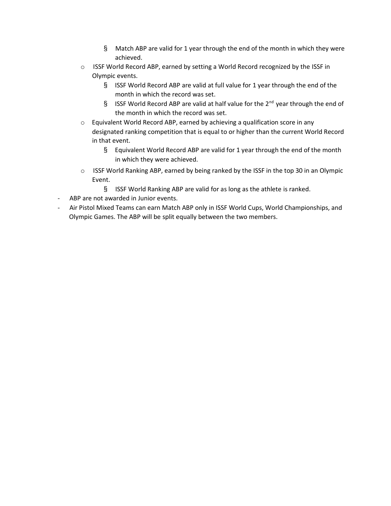- § Match ABP are valid for 1 year through the end of the month in which they were achieved.
- o ISSF World Record ABP, earned by setting a World Record recognized by the ISSF in Olympic events.
	- § ISSF World Record ABP are valid at full value for 1 year through the end of the month in which the record was set.
	- § ISSF World Record ABP are valid at half value for the  $2^{nd}$  year through the end of the month in which the record was set.
- o Equivalent World Record ABP, earned by achieving a qualification score in any designated ranking competition that is equal to or higher than the current World Record in that event.
	- § Equivalent World Record ABP are valid for 1 year through the end of the month in which they were achieved.
- o ISSF World Ranking ABP, earned by being ranked by the ISSF in the top 30 in an Olympic Event.
	- § ISSF World Ranking ABP are valid for as long as the athlete is ranked.
- ABP are not awarded in Junior events.
- Air Pistol Mixed Teams can earn Match ABP only in ISSF World Cups, World Championships, and Olympic Games. The ABP will be split equally between the two members.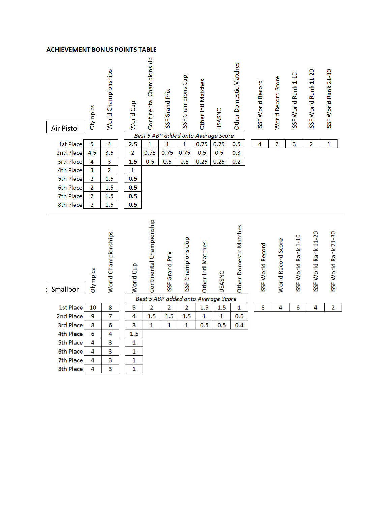#### **ACHIEVEMENT BONUS POINTS TABLE**